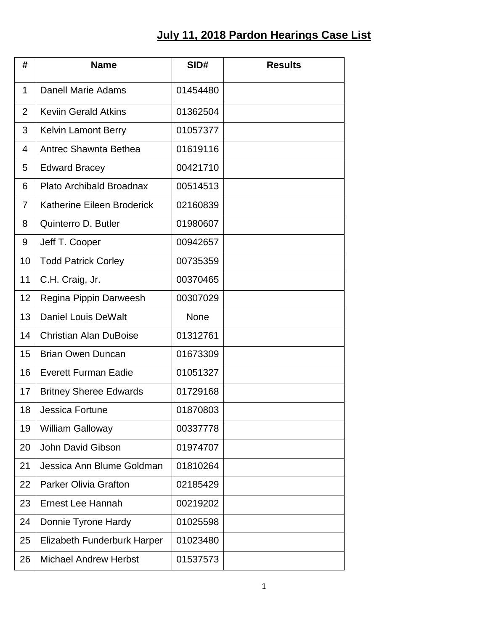## **July 11, 2018 Pardon Hearings Case List**

| #              | <b>Name</b>                   | SID#        | <b>Results</b> |
|----------------|-------------------------------|-------------|----------------|
| 1              | Danell Marie Adams            | 01454480    |                |
| $\overline{2}$ | <b>Keviin Gerald Atkins</b>   | 01362504    |                |
| 3              | <b>Kelvin Lamont Berry</b>    | 01057377    |                |
| 4              | Antrec Shawnta Bethea         | 01619116    |                |
| 5              | <b>Edward Bracey</b>          | 00421710    |                |
| 6              | Plato Archibald Broadnax      | 00514513    |                |
| 7              | Katherine Eileen Broderick    | 02160839    |                |
| 8              | Quinterro D. Butler           | 01980607    |                |
| 9              | Jeff T. Cooper                | 00942657    |                |
| 10             | <b>Todd Patrick Corley</b>    | 00735359    |                |
| 11             | C.H. Craig, Jr.               | 00370465    |                |
| 12             | Regina Pippin Darweesh        | 00307029    |                |
| 13             | <b>Daniel Louis DeWalt</b>    | <b>None</b> |                |
| 14             | <b>Christian Alan DuBoise</b> | 01312761    |                |
| 15             | <b>Brian Owen Duncan</b>      | 01673309    |                |
| 16             | <b>Everett Furman Eadie</b>   | 01051327    |                |
| 17             | <b>Britney Sheree Edwards</b> | 01729168    |                |
| 18             | Jessica Fortune               | 01870803    |                |
| 19             | <b>William Galloway</b>       | 00337778    |                |
| 20             | <b>John David Gibson</b>      | 01974707    |                |
| 21             | Jessica Ann Blume Goldman     | 01810264    |                |
| 22             | <b>Parker Olivia Grafton</b>  | 02185429    |                |
| 23             | <b>Ernest Lee Hannah</b>      | 00219202    |                |
| 24             | Donnie Tyrone Hardy           | 01025598    |                |
| 25             | Elizabeth Funderburk Harper   | 01023480    |                |
| 26             | <b>Michael Andrew Herbst</b>  | 01537573    |                |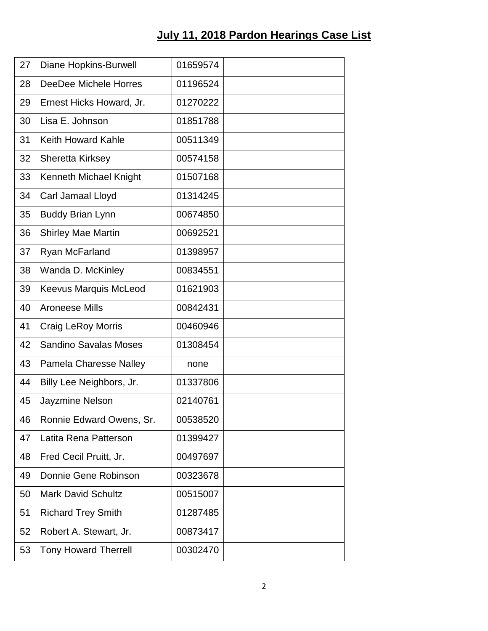## **July 11, 2018 Pardon Hearings Case List**

| 27 | <b>Diane Hopkins-Burwell</b>  | 01659574 |  |
|----|-------------------------------|----------|--|
| 28 | DeeDee Michele Horres         | 01196524 |  |
| 29 | Ernest Hicks Howard, Jr.      | 01270222 |  |
| 30 | Lisa E. Johnson               | 01851788 |  |
| 31 | <b>Keith Howard Kahle</b>     | 00511349 |  |
| 32 | Sheretta Kirksey              | 00574158 |  |
| 33 | Kenneth Michael Knight        | 01507168 |  |
| 34 | Carl Jamaal Lloyd             | 01314245 |  |
| 35 | <b>Buddy Brian Lynn</b>       | 00674850 |  |
| 36 | <b>Shirley Mae Martin</b>     | 00692521 |  |
| 37 | Ryan McFarland                | 01398957 |  |
| 38 | Wanda D. McKinley             | 00834551 |  |
| 39 | <b>Keevus Marquis McLeod</b>  | 01621903 |  |
| 40 | <b>Aroneese Mills</b>         | 00842431 |  |
| 41 | <b>Craig LeRoy Morris</b>     | 00460946 |  |
| 42 | <b>Sandino Savalas Moses</b>  | 01308454 |  |
| 43 | <b>Pamela Charesse Nalley</b> | none     |  |
| 44 | Billy Lee Neighbors, Jr.      | 01337806 |  |
| 45 | Jayzmine Nelson               | 02140761 |  |
| 46 | Ronnie Edward Owens, Sr.      | 00538520 |  |
| 47 | Latita Rena Patterson         | 01399427 |  |
| 48 | Fred Cecil Pruitt, Jr.        | 00497697 |  |
| 49 | Donnie Gene Robinson          | 00323678 |  |
| 50 | <b>Mark David Schultz</b>     | 00515007 |  |
| 51 | <b>Richard Trey Smith</b>     | 01287485 |  |
| 52 | Robert A. Stewart, Jr.        | 00873417 |  |
| 53 | <b>Tony Howard Therrell</b>   | 00302470 |  |